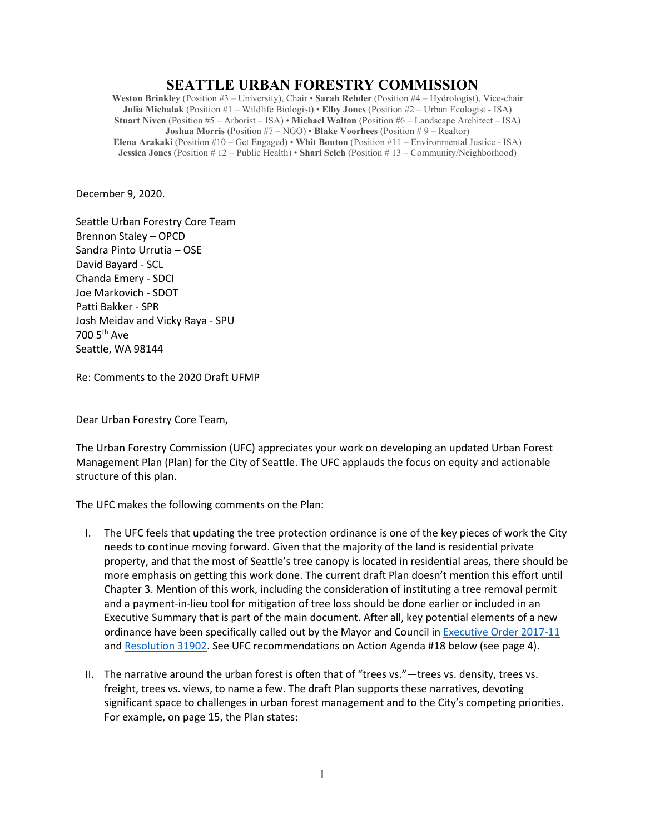## **SEATTLE URBAN FORESTRY COMMISSION**

**Weston Brinkley** (Position #3 – University), Chair • **Sarah Rehder** (Position #4 – Hydrologist), Vice-chair **Julia Michalak** (Position #1 – Wildlife Biologist) • **Elby Jones** (Position #2 – Urban Ecologist - ISA) **Stuart Niven** (Position #5 – Arborist – ISA) • **Michael Walton** (Position #6 – Landscape Architect – ISA) **Joshua Morris** (Position #7 – NGO) • **Blake Voorhees** (Position # 9 – Realtor) **Elena Arakaki** (Position #10 – Get Engaged) • **Whit Bouton** (Position #11 – Environmental Justice - ISA) **Jessica Jones** (Position # 12 – Public Health) • **Shari Selch** (Position # 13 – Community/Neighborhood)

December 9, 2020.

Seattle Urban Forestry Core Team Brennon Staley – OPCD Sandra Pinto Urrutia – OSE David Bayard - SCL Chanda Emery - SDCI Joe Markovich - SDOT Patti Bakker - SPR Josh Meidav and Vicky Raya - SPU 700 5th Ave Seattle, WA 98144

Re: Comments to the 2020 Draft UFMP

Dear Urban Forestry Core Team,

The Urban Forestry Commission (UFC) appreciates your work on developing an updated Urban Forest Management Plan (Plan) for the City of Seattle. The UFC applauds the focus on equity and actionable structure of this plan.

The UFC makes the following comments on the Plan:

- I. The UFC feels that updating the tree protection ordinance is one of the key pieces of work the City needs to continue moving forward. Given that the majority of the land is residential private property, and that the most of Seattle's tree canopy is located in residential areas, there should be more emphasis on getting this work done. The current draft Plan doesn't mention this effort until Chapter 3. Mention of this work, including the consideration of instituting a tree removal permit and a payment-in-lieu tool for mitigation of tree loss should be done earlier or included in an Executive Summary that is part of the main document. After all, key potential elements of a new ordinance have been specifically called out by the Mayor and Council in [Executive Order 2017-11](http://www.seattle.gov/Documents/Departments/UrbanForestryCommission/2018/2018docs/TreeExecOrder2017-11FINAL.pdf) and [Resolution 31902.](http://clerk.seattle.gov/search/resolutions/31902) See UFC recommendations on Action Agenda #18 below (see page 4).
- II. The narrative around the urban forest is often that of "trees vs."—trees vs. density, trees vs. freight, trees vs. views, to name a few. The draft Plan supports these narratives, devoting significant space to challenges in urban forest management and to the City's competing priorities. For example, on page 15, the Plan states: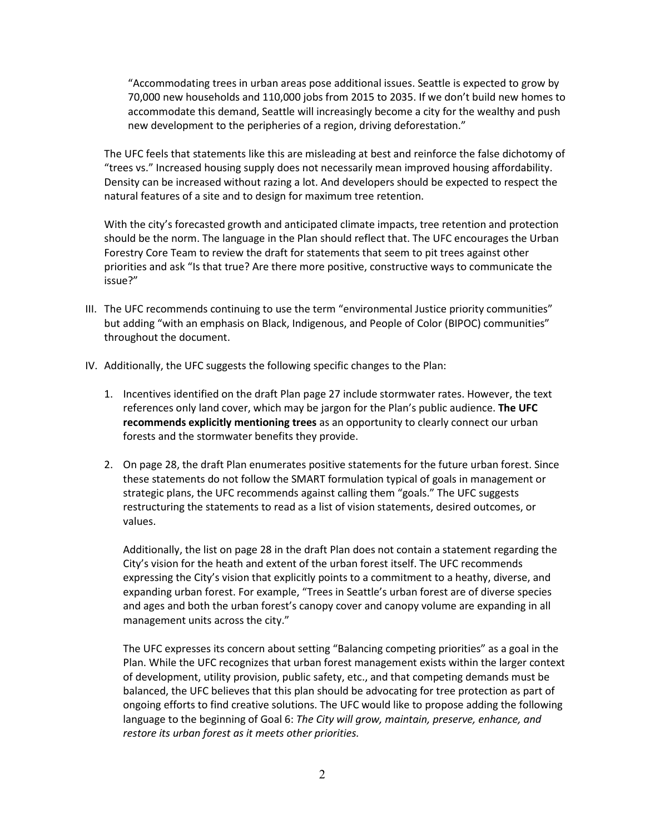"Accommodating trees in urban areas pose additional issues. Seattle is expected to grow by 70,000 new households and 110,000 jobs from 2015 to 2035. If we don't build new homes to accommodate this demand, Seattle will increasingly become a city for the wealthy and push new development to the peripheries of a region, driving deforestation."

The UFC feels that statements like this are misleading at best and reinforce the false dichotomy of "trees vs." Increased housing supply does not necessarily mean improved housing affordability. Density can be increased without razing a lot. And developers should be expected to respect the natural features of a site and to design for maximum tree retention.

With the city's forecasted growth and anticipated climate impacts, tree retention and protection should be the norm. The language in the Plan should reflect that. The UFC encourages the Urban Forestry Core Team to review the draft for statements that seem to pit trees against other priorities and ask "Is that true? Are there more positive, constructive ways to communicate the issue?"

- III. The UFC recommends continuing to use the term "environmental Justice priority communities" but adding "with an emphasis on Black, Indigenous, and People of Color (BIPOC) communities" throughout the document.
- IV. Additionally, the UFC suggests the following specific changes to the Plan:
	- 1. Incentives identified on the draft Plan page 27 include stormwater rates. However, the text references only land cover, which may be jargon for the Plan's public audience. **The UFC recommends explicitly mentioning trees** as an opportunity to clearly connect our urban forests and the stormwater benefits they provide.
	- 2. On page 28, the draft Plan enumerates positive statements for the future urban forest. Since these statements do not follow the SMART formulation typical of goals in management or strategic plans, the UFC recommends against calling them "goals." The UFC suggests restructuring the statements to read as a list of vision statements, desired outcomes, or values.

Additionally, the list on page 28 in the draft Plan does not contain a statement regarding the City's vision for the heath and extent of the urban forest itself. The UFC recommends expressing the City's vision that explicitly points to a commitment to a heathy, diverse, and expanding urban forest. For example, "Trees in Seattle's urban forest are of diverse species and ages and both the urban forest's canopy cover and canopy volume are expanding in all management units across the city."

The UFC expresses its concern about setting "Balancing competing priorities" as a goal in the Plan. While the UFC recognizes that urban forest management exists within the larger context of development, utility provision, public safety, etc., and that competing demands must be balanced, the UFC believes that this plan should be advocating for tree protection as part of ongoing efforts to find creative solutions. The UFC would like to propose adding the following language to the beginning of Goal 6: *The City will grow, maintain, preserve, enhance, and restore its urban forest as it meets other priorities.*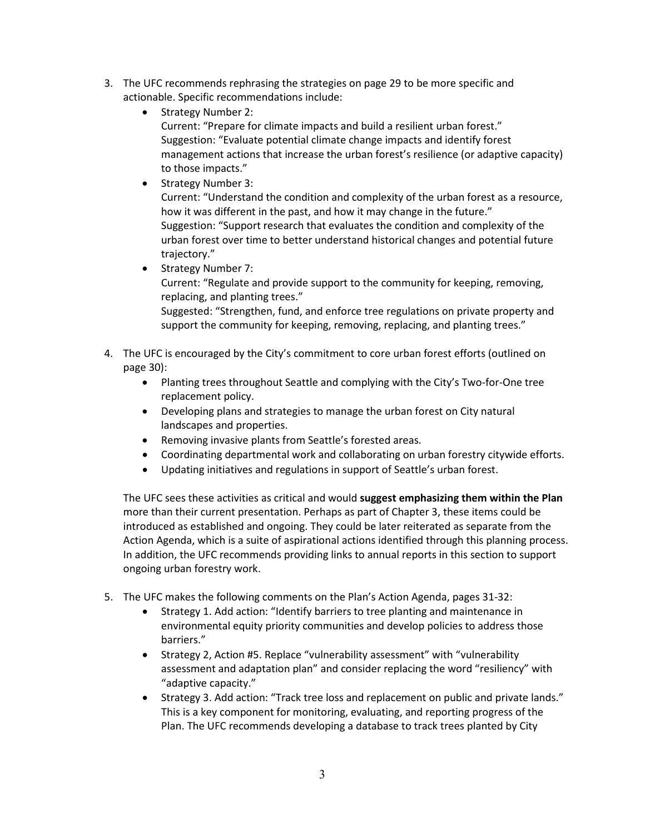- 3. The UFC recommends rephrasing the strategies on page 29 to be more specific and actionable. Specific recommendations include:
	- Strategy Number 2:

Current: "Prepare for climate impacts and build a resilient urban forest." Suggestion: "Evaluate potential climate change impacts and identify forest management actions that increase the urban forest's resilience (or adaptive capacity) to those impacts."

- Strategy Number 3: Current: "Understand the condition and complexity of the urban forest as a resource, how it was different in the past, and how it may change in the future." Suggestion: "Support research that evaluates the condition and complexity of the urban forest over time to better understand historical changes and potential future trajectory."
- Strategy Number 7:

Current: "Regulate and provide support to the community for keeping, removing, replacing, and planting trees."

Suggested: "Strengthen, fund, and enforce tree regulations on private property and support the community for keeping, removing, replacing, and planting trees."

- 4. The UFC is encouraged by the City's commitment to core urban forest efforts (outlined on page 30):
	- Planting trees throughout Seattle and complying with the City's Two-for-One tree replacement policy.
	- Developing plans and strategies to manage the urban forest on City natural landscapes and properties.
	- Removing invasive plants from Seattle's forested areas.
	- Coordinating departmental work and collaborating on urban forestry citywide efforts.
	- Updating initiatives and regulations in support of Seattle's urban forest.

The UFC sees these activities as critical and would **suggest emphasizing them within the Plan** more than their current presentation. Perhaps as part of Chapter 3, these items could be introduced as established and ongoing. They could be later reiterated as separate from the Action Agenda, which is a suite of aspirational actions identified through this planning process. In addition, the UFC recommends providing links to annual reports in this section to support ongoing urban forestry work.

- 5. The UFC makes the following comments on the Plan's Action Agenda, pages 31-32:
	- Strategy 1. Add action: "Identify barriers to tree planting and maintenance in environmental equity priority communities and develop policies to address those barriers."
	- Strategy 2, Action #5. Replace "vulnerability assessment" with "vulnerability assessment and adaptation plan" and consider replacing the word "resiliency" with "adaptive capacity."
	- Strategy 3. Add action: "Track tree loss and replacement on public and private lands." This is a key component for monitoring, evaluating, and reporting progress of the Plan. The UFC recommends developing a database to track trees planted by City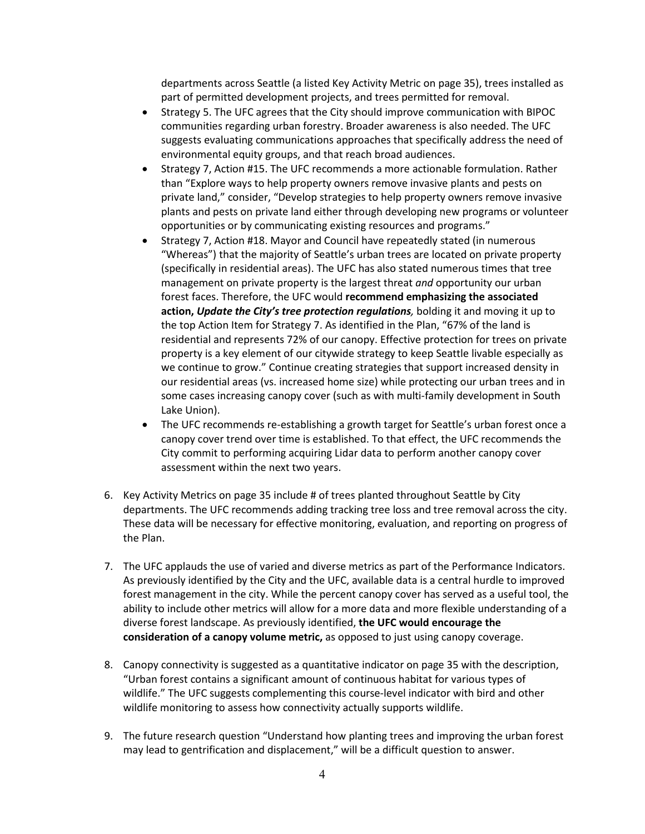departments across Seattle (a listed Key Activity Metric on page 35), trees installed as part of permitted development projects, and trees permitted for removal.

- Strategy 5. The UFC agrees that the City should improve communication with BIPOC communities regarding urban forestry. Broader awareness is also needed. The UFC suggests evaluating communications approaches that specifically address the need of environmental equity groups, and that reach broad audiences.
- Strategy 7, Action #15. The UFC recommends a more actionable formulation. Rather than "Explore ways to help property owners remove invasive plants and pests on private land," consider, "Develop strategies to help property owners remove invasive plants and pests on private land either through developing new programs or volunteer opportunities or by communicating existing resources and programs."
- Strategy 7, Action #18. Mayor and Council have repeatedly stated (in numerous "Whereas") that the majority of Seattle's urban trees are located on private property (specifically in residential areas). The UFC has also stated numerous times that tree management on private property is the largest threat *and* opportunity our urban forest faces. Therefore, the UFC would **recommend emphasizing the associated action,** *Update the City's tree protection regulations,* bolding it and moving it up to the top Action Item for Strategy 7. As identified in the Plan, "67% of the land is residential and represents 72% of our canopy. Effective protection for trees on private property is a key element of our citywide strategy to keep Seattle livable especially as we continue to grow." Continue creating strategies that support increased density in our residential areas (vs. increased home size) while protecting our urban trees and in some cases increasing canopy cover (such as with multi-family development in South Lake Union).
- The UFC recommends re-establishing a growth target for Seattle's urban forest once a canopy cover trend over time is established. To that effect, the UFC recommends the City commit to performing acquiring Lidar data to perform another canopy cover assessment within the next two years.
- 6. Key Activity Metrics on page 35 include # of trees planted throughout Seattle by City departments. The UFC recommends adding tracking tree loss and tree removal across the city. These data will be necessary for effective monitoring, evaluation, and reporting on progress of the Plan.
- 7. The UFC applauds the use of varied and diverse metrics as part of the Performance Indicators. As previously identified by the City and the UFC, available data is a central hurdle to improved forest management in the city. While the percent canopy cover has served as a useful tool, the ability to include other metrics will allow for a more data and more flexible understanding of a diverse forest landscape. As previously identified, **the UFC would encourage the consideration of a canopy volume metric,** as opposed to just using canopy coverage.
- 8. Canopy connectivity is suggested as a quantitative indicator on page 35 with the description, "Urban forest contains a significant amount of continuous habitat for various types of wildlife." The UFC suggests complementing this course-level indicator with bird and other wildlife monitoring to assess how connectivity actually supports wildlife.
- 9. The future research question "Understand how planting trees and improving the urban forest may lead to gentrification and displacement," will be a difficult question to answer.